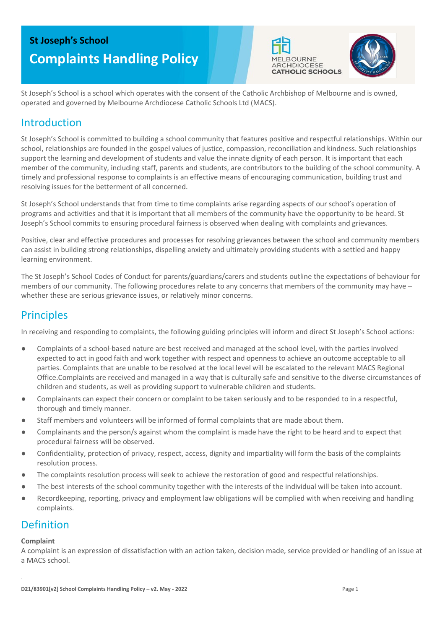# **St Joseph's School Complaints Handling Policy**





St Joseph's School is a school which operates with the consent of the Catholic Archbishop of Melbourne and is owned, operated and governed by Melbourne Archdiocese Catholic Schools Ltd (MACS).

### Introduction

St Joseph's School is committed to building a school community that features positive and respectful relationships. Within our school, relationships are founded in the gospel values of justice, compassion, reconciliation and kindness. Such relationships support the learning and development of students and value the innate dignity of each person. It is important that each member of the community, including staff, parents and students, are contributors to the building of the school community. A timely and professional response to complaints is an effective means of encouraging communication, building trust and resolving issues for the betterment of all concerned.

St Joseph's School understands that from time to time complaints arise regarding aspects of our school's operation of programs and activities and that it is important that all members of the community have the opportunity to be heard. St Joseph's School commits to ensuring procedural fairness is observed when dealing with complaints and grievances.

Positive, clear and effective procedures and processes for resolving grievances between the school and community members can assist in building strong relationships, dispelling anxiety and ultimately providing students with a settled and happy learning environment.

The St Joseph's School Codes of Conduct for parents/guardians/carers and students outline the expectations of behaviour for members of our community. The following procedures relate to any concerns that members of the community may have – whether these are serious grievance issues, or relatively minor concerns.

### **Principles**

In receiving and responding to complaints, the following guiding principles will inform and direct St Joseph's School actions:

- Complaints of a school-based nature are best received and managed at the school level, with the parties involved expected to act in good faith and work together with respect and openness to achieve an outcome acceptable to all parties. Complaints that are unable to be resolved at the local level will be escalated to the relevant MACS Regional Office.Complaints are received and managed in a way that is culturally safe and sensitive to the diverse circumstances of children and students, as well as providing support to vulnerable children and students.
- Complainants can expect their concern or complaint to be taken seriously and to be responded to in a respectful, thorough and timely manner.
- Staff members and volunteers will be informed of formal complaints that are made about them.
- Complainants and the person/s against whom the complaint is made have the right to be heard and to expect that procedural fairness will be observed.
- Confidentiality, protection of privacy, respect, access, dignity and impartiality will form the basis of the complaints resolution process.
- The complaints resolution process will seek to achieve the restoration of good and respectful relationships.
- The best interests of the school community together with the interests of the individual will be taken into account.
- Recordkeeping, reporting, privacy and employment law obligations will be complied with when receiving and handling complaints.

### Definition

#### **Complaint**

A complaint is an expression of dissatisfaction with an action taken, decision made, service provided or handling of an issue at a MACS school.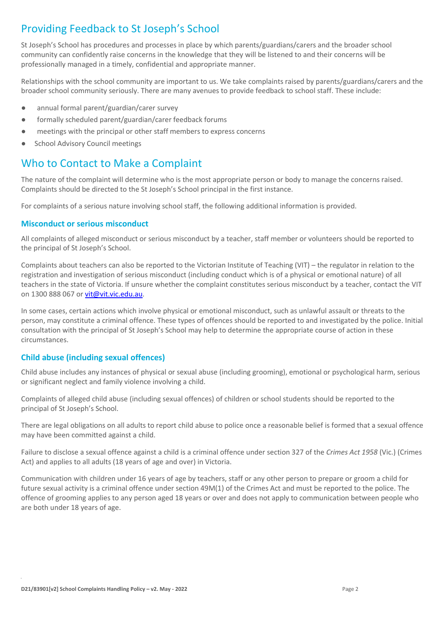# Providing Feedback to St Joseph's School

St Joseph's School has procedures and processes in place by which parents/guardians/carers and the broader school community can confidently raise concerns in the knowledge that they will be listened to and their concerns will be professionally managed in a timely, confidential and appropriate manner.

Relationships with the school community are important to us. We take complaints raised by parents/guardians/carers and the broader school community seriously. There are many avenues to provide feedback to school staff. These include:

- annual formal parent/guardian/carer survey
- formally scheduled parent/guardian/carer feedback forums
- meetings with the principal or other staff members to express concerns
- School Advisory Council meetings

### Who to Contact to Make a Complaint

The nature of the complaint will determine who is the most appropriate person or body to manage the concerns raised. Complaints should be directed to the St Joseph's School principal in the first instance.

For complaints of a serious nature involving school staff, the following additional information is provided.

#### **Misconduct or serious misconduct**

All complaints of alleged misconduct or serious misconduct by a teacher, staff member or volunteers should be reported to the principal of St Joseph's School.

Complaints about teachers can also be reported to the Victorian Institute of Teaching (VIT) – the regulator in relation to the registration and investigation of serious misconduct (including conduct which is of a physical or emotional nature) of all teachers in the state of Victoria. If unsure whether the complaint constitutes serious misconduct by a teacher, contact the VIT on 1300 888 067 o[r vit@vit.vic.edu.au.](mailto:vit@vit.vic.edu.au)

In some cases, certain actions which involve physical or emotional misconduct, such as unlawful assault or threats to the person, may constitute a criminal offence. These types of offences should be reported to and investigated by the police. Initial consultation with the principal of St Joseph's School may help to determine the appropriate course of action in these circumstances.

#### **Child abuse (including sexual offences)**

Child abuse includes any instances of physical or sexual abuse (including grooming), emotional or psychological harm, serious or significant neglect and family violence involving a child.

Complaints of alleged child abuse (including sexual offences) of children or school students should be reported to the principal of St Joseph's School.

There are legal obligations on all adults to report child abuse to police once a reasonable belief is formed that a sexual offence may have been committed against a child.

Failure to disclose a sexual offence against a child is a criminal offence under section 327 of the *Crimes Act 1958* (Vic.) (Crimes Act) and applies to all adults (18 years of age and over) in Victoria.

Communication with children under 16 years of age by teachers, staff or any other person to prepare or groom a child for future sexual activity is a criminal offence under section 49M(1) of the Crimes Act and must be reported to the police. The offence of grooming applies to any person aged 18 years or over and does not apply to communication between people who are both under 18 years of age.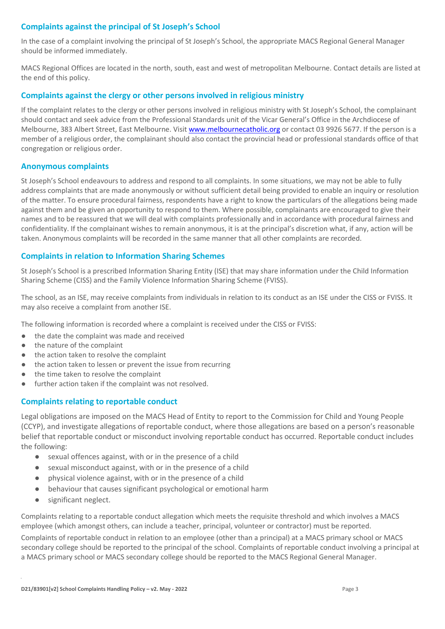#### **Complaints against the principal of St Joseph's School**

In the case of a complaint involving the principal of St Joseph's School, the appropriate MACS Regional General Manager should be informed immediately.

MACS Regional Offices are located in the north, south, east and west of metropolitan Melbourne. Contact details are listed at the end of this policy.

#### **Complaints against the clergy or other persons involved in religious ministry**

If the complaint relates to the clergy or other persons involved in religious ministry with St Joseph's School, the complainant should contact and seek advice from the Professional Standards unit of the Vicar General's Office in the Archdiocese of Melbourne, 383 Albert Street, East Melbourne. Visi[t www.melbournecatholic.org](http://www.melbournecatholic.org/) or contact 03 9926 5677. If the person is a member of a religious order, the complainant should also contact the provincial head or professional standards office of that congregation or religious order.

#### **Anonymous complaints**

St Joseph's School endeavours to address and respond to all complaints. In some situations, we may not be able to fully address complaints that are made anonymously or without sufficient detail being provided to enable an inquiry or resolution of the matter. To ensure procedural fairness, respondents have a right to know the particulars of the allegations being made against them and be given an opportunity to respond to them. Where possible, complainants are encouraged to give their names and to be reassured that we will deal with complaints professionally and in accordance with procedural fairness and confidentiality. If the complainant wishes to remain anonymous, it is at the principal's discretion what, if any, action will be taken. Anonymous complaints will be recorded in the same manner that all other complaints are recorded.

#### **Complaints in relation to Information Sharing Schemes**

St Joseph's School is a prescribed Information Sharing Entity (ISE) that may share information under the Child Information Sharing Scheme (CISS) and the Family Violence Information Sharing Scheme (FVISS).

The school, as an ISE, may receive complaints from individuals in relation to its conduct as an ISE under the CISS or FVISS. It may also receive a complaint from another ISE.

The following information is recorded where a complaint is received under the CISS or FVISS:

- the date the complaint was made and received
- the nature of the complaint
- the action taken to resolve the complaint
- the action taken to lessen or prevent the issue from recurring
- the time taken to resolve the complaint
- further action taken if the complaint was not resolved.

#### **Complaints relating to reportable conduct**

Legal obligations are imposed on the MACS Head of Entity to report to the Commission for Child and Young People (CCYP), and investigate allegations of reportable conduct, where those allegations are based on a person's reasonable belief that reportable conduct or misconduct involving reportable conduct has occurred. Reportable conduct includes the following:

- sexual offences against, with or in the presence of a child
- sexual misconduct against, with or in the presence of a child
- physical violence against, with or in the presence of a child
- behaviour that causes significant psychological or emotional harm
- significant neglect.

Complaints relating to a reportable conduct allegation which meets the requisite threshold and which involves a MACS employee (which amongst others, can include a teacher, principal, volunteer or contractor) must be reported.

Complaints of reportable conduct in relation to an employee (other than a principal) at a MACS primary school or MACS secondary college should be reported to the principal of the school. Complaints of reportable conduct involving a principal at a MACS primary school or MACS secondary college should be reported to the MACS Regional General Manager.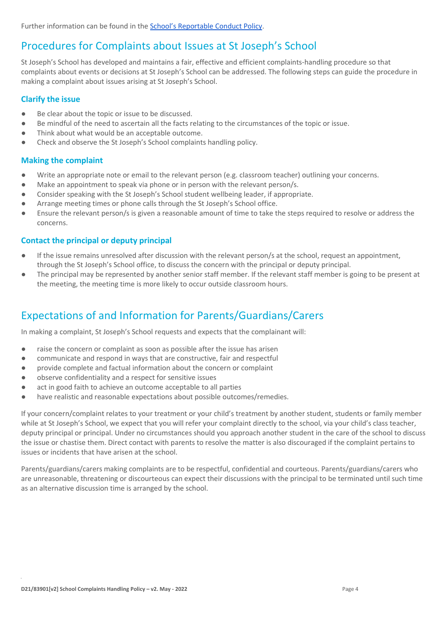Further information can be found in the [School's Reportable Conduct Policy.](https://docs.google.com/document/d/1kZfdpUg3g1btXIgPtBXamQIXHV4SXX9n/edit#heading=h.gjdgxs)

### Procedures for Complaints about Issues at St Joseph's School

St Joseph's School has developed and maintains a fair, effective and efficient complaints-handling procedure so that complaints about events or decisions at St Joseph's School can be addressed. The following steps can guide the procedure in making a complaint about issues arising at St Joseph's School.

#### **Clarify the issue**

- Be clear about the topic or issue to be discussed.
- Be mindful of the need to ascertain all the facts relating to the circumstances of the topic or issue.
- Think about what would be an acceptable outcome.
- Check and observe the St Joseph's School complaints handling policy.

#### **Making the complaint**

- Write an appropriate note or email to the relevant person (e.g. classroom teacher) outlining your concerns.
- Make an appointment to speak via phone or in person with the relevant person/s.
- Consider speaking with the St Joseph's School student wellbeing leader, if appropriate.
- Arrange meeting times or phone calls through the St Joseph's School office.
- Ensure the relevant person/s is given a reasonable amount of time to take the steps required to resolve or address the concerns.

#### **Contact the principal or deputy principal**

- If the issue remains unresolved after discussion with the relevant person/s at the school, request an appointment, through the St Joseph's School office, to discuss the concern with the principal or deputy principal.
- The principal may be represented by another senior staff member. If the relevant staff member is going to be present at the meeting, the meeting time is more likely to occur outside classroom hours.

# Expectations of and Information for Parents/Guardians/Carers

In making a complaint, St Joseph's School requests and expects that the complainant will:

- raise the concern or complaint as soon as possible after the issue has arisen
- communicate and respond in ways that are constructive, fair and respectful
- provide complete and factual information about the concern or complaint
- observe confidentiality and a respect for sensitive issues
- act in good faith to achieve an outcome acceptable to all parties
- have realistic and reasonable expectations about possible outcomes/remedies.

If your concern/complaint relates to your treatment or your child's treatment by another student, students or family member while at St Joseph's School, we expect that you will refer your complaint directly to the school, via your child's class teacher, deputy principal or principal. Under no circumstances should you approach another student in the care of the school to discuss the issue or chastise them. Direct contact with parents to resolve the matter is also discouraged if the complaint pertains to issues or incidents that have arisen at the school.

Parents/guardians/carers making complaints are to be respectful, confidential and courteous. Parents/guardians/carers who are unreasonable, threatening or discourteous can expect their discussions with the principal to be terminated until such time as an alternative discussion time is arranged by the school.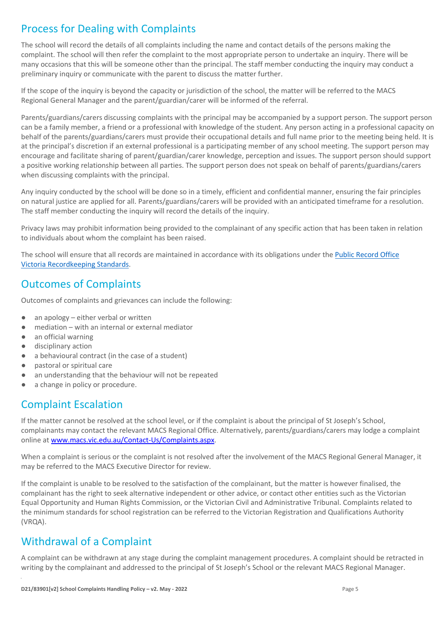## Process for Dealing with Complaints

The school will record the details of all complaints including the name and contact details of the persons making the complaint. The school will then refer the complaint to the most appropriate person to undertake an inquiry. There will be many occasions that this will be someone other than the principal. The staff member conducting the inquiry may conduct a preliminary inquiry or communicate with the parent to discuss the matter further.

If the scope of the inquiry is beyond the capacity or jurisdiction of the school, the matter will be referred to the MACS Regional General Manager and the parent/guardian/carer will be informed of the referral.

Parents/guardians/carers discussing complaints with the principal may be accompanied by a support person. The support person can be a family member, a friend or a professional with knowledge of the student. Any person acting in a professional capacity on behalf of the parents/guardians/carers must provide their occupational details and full name prior to the meeting being held. It is at the principal's discretion if an external professional is a participating member of any school meeting. The support person may encourage and facilitate sharing of parent/guardian/carer knowledge, perception and issues. The support person should support a positive working relationship between all parties. The support person does not speak on behalf of parents/guardians/carers when discussing complaints with the principal.

Any inquiry conducted by the school will be done so in a timely, efficient and confidential manner, ensuring the fair principles on natural justice are applied for all. Parents/guardians/carers will be provided with an anticipated timeframe for a resolution. The staff member conducting the inquiry will record the details of the inquiry.

Privacy laws may prohibit information being provided to the complainant of any specific action that has been taken in relation to individuals about whom the complaint has been raised.

The school will ensure that all records are maintained in accordance with its obligations under the [Public Record Office](https://prov.vic.gov.au/recordkeeping-government/standards-framework)  [Victoria Recordkeeping Standards.](https://prov.vic.gov.au/recordkeeping-government/standards-framework)

### Outcomes of Complaints

Outcomes of complaints and grievances can include the following:

- $\bullet$  an apology either verbal or written
- mediation with an internal or external mediator
- an official warning
- disciplinary action
- a behavioural contract (in the case of a student)
- pastoral or spiritual care
- an understanding that the behaviour will not be repeated
- a change in policy or procedure.

# Complaint Escalation

If the matter cannot be resolved at the school level, or if the complaint is about the principal of St Joseph's School, complainants may contact the relevant MACS Regional Office. Alternatively, parents/guardians/carers may lodge a complaint online at [www.macs.vic.edu.au/Contact-Us/Complaints.aspx.](http://www.macs.vic.edu.au/Contact-Us/Complaints.aspx)

When a complaint is serious or the complaint is not resolved after the involvement of the MACS Regional General Manager, it may be referred to the MACS Executive Director for review.

If the complaint is unable to be resolved to the satisfaction of the complainant, but the matter is however finalised, the complainant has the right to seek alternative independent or other advice, or contact other entities such as the Victorian Equal Opportunity and Human Rights Commission, or the Victorian Civil and Administrative Tribunal. Complaints related to the minimum standards for school registration can be referred to the Victorian Registration and Qualifications Authority (VRQA).

### Withdrawal of a Complaint

A complaint can be withdrawn at any stage during the complaint management procedures. A complaint should be retracted in writing by the complainant and addressed to the principal of St Joseph's School or the relevant MACS Regional Manager.